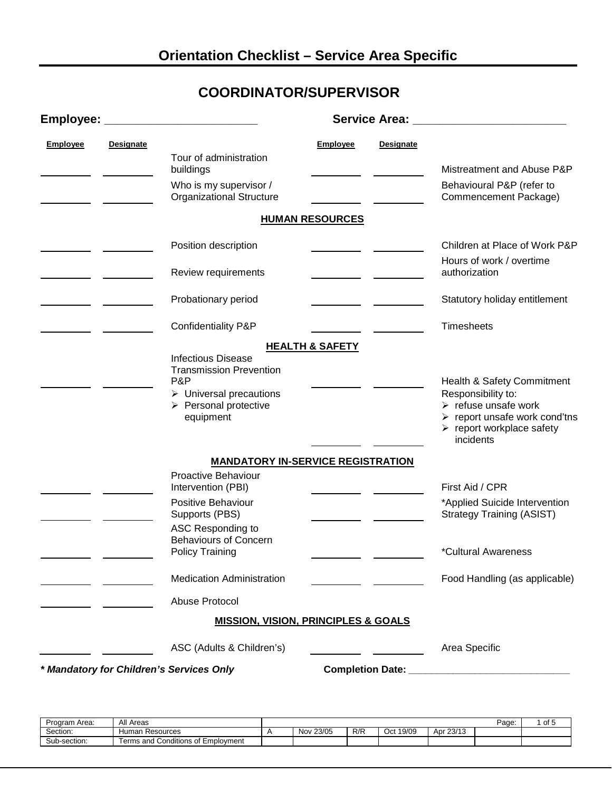## **COORDINATOR/SUPERVISOR**

| Employee:       |                  |                                                                                                                                                                   |                            |                  | Service Area: <u>______________________</u>                                                                                                                                                      |
|-----------------|------------------|-------------------------------------------------------------------------------------------------------------------------------------------------------------------|----------------------------|------------------|--------------------------------------------------------------------------------------------------------------------------------------------------------------------------------------------------|
| <b>Employee</b> | <b>Designate</b> | Tour of administration<br>buildings<br>Who is my supervisor /<br><b>Organizational Structure</b>                                                                  | <b>Employee</b>            | <b>Designate</b> | Mistreatment and Abuse P&P<br>Behavioural P&P (refer to<br>Commencement Package)                                                                                                                 |
|                 |                  |                                                                                                                                                                   | <b>HUMAN RESOURCES</b>     |                  |                                                                                                                                                                                                  |
|                 |                  | Position description                                                                                                                                              |                            |                  | Children at Place of Work P&P                                                                                                                                                                    |
|                 |                  | Review requirements                                                                                                                                               |                            |                  | Hours of work / overtime<br>authorization                                                                                                                                                        |
|                 |                  | Probationary period                                                                                                                                               |                            |                  | Statutory holiday entitlement                                                                                                                                                                    |
|                 |                  | Confidentiality P&P                                                                                                                                               |                            |                  | <b>Timesheets</b>                                                                                                                                                                                |
|                 |                  | <b>Infectious Disease</b><br><b>Transmission Prevention</b><br>P&P<br>$\triangleright$ Universal precautions<br>$\triangleright$ Personal protective<br>equipment | <b>HEALTH &amp; SAFETY</b> |                  | Health & Safety Commitment<br>Responsibility to:<br>$\triangleright$ refuse unsafe work<br>$\triangleright$ report unsafe work cond'tns<br>$\triangleright$ report workplace safety<br>incidents |
|                 |                  | <b>MANDATORY IN-SERVICE REGISTRATION</b>                                                                                                                          |                            |                  |                                                                                                                                                                                                  |
|                 |                  | Proactive Behaviour<br>Intervention (PBI)<br>Positive Behaviour<br>Supports (PBS)<br>ASC Responding to                                                            |                            |                  | First Aid / CPR<br>*Applied Suicide Intervention<br><b>Strategy Training (ASIST)</b>                                                                                                             |
|                 |                  | <b>Behaviours of Concern</b><br><b>Policy Training</b>                                                                                                            |                            |                  | *Cultural Awareness                                                                                                                                                                              |
|                 |                  | <b>Medication Administration</b>                                                                                                                                  |                            |                  | Food Handling (as applicable)                                                                                                                                                                    |
|                 |                  | Abuse Protocol                                                                                                                                                    |                            |                  |                                                                                                                                                                                                  |
|                 |                  | <b>MISSION, VISION, PRINCIPLES &amp; GOALS</b>                                                                                                                    |                            |                  |                                                                                                                                                                                                  |
|                 |                  | ASC (Adults & Children's)                                                                                                                                         |                            |                  | Area Specific                                                                                                                                                                                    |
|                 |                  | * Mandatory for Children's Services Only                                                                                                                          |                            |                  |                                                                                                                                                                                                  |

| Program Area: | $A + I$<br>All Areas                         |               |     |              |           | Page: | d to |
|---------------|----------------------------------------------|---------------|-----|--------------|-----------|-------|------|
| Section:      | Human Resources                              | 23/05<br>Nov. | R/R | 19/09<br>Oct | Apr 23/13 |       |      |
| Sub-section:  | <b>Conditions of Employment</b><br>Ferms and |               |     |              |           |       |      |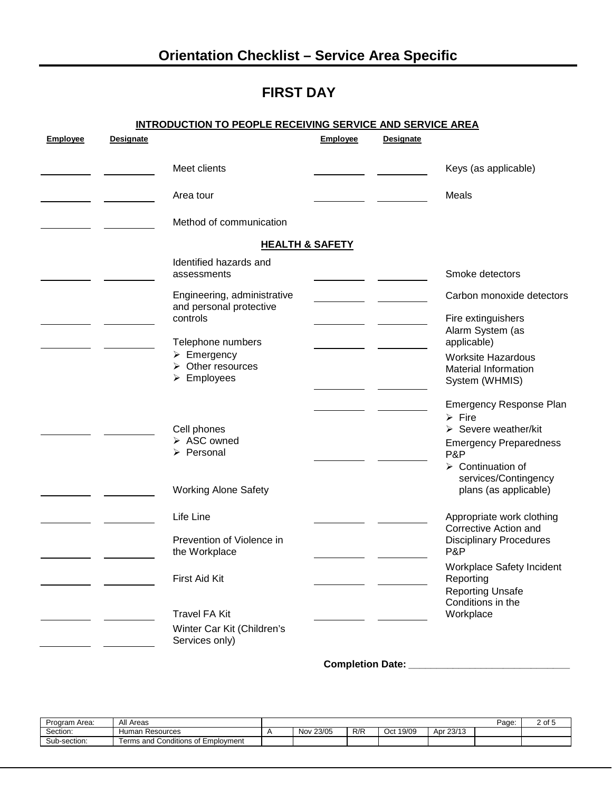# **FIRST DAY**

| <b>Employee</b> | <b>Designate</b> | <b>INTRODUCTION TO PEOPLE RECEIVING SERVICE AND SERVICE AREA</b>                             | <b>Employee</b> | <b>Designate</b> |                                                                                   |
|-----------------|------------------|----------------------------------------------------------------------------------------------|-----------------|------------------|-----------------------------------------------------------------------------------|
|                 |                  | Meet clients                                                                                 |                 |                  | Keys (as applicable)                                                              |
|                 |                  | Area tour                                                                                    |                 |                  | Meals                                                                             |
|                 |                  | Method of communication                                                                      |                 |                  |                                                                                   |
|                 |                  | <b>HEALTH &amp; SAFETY</b>                                                                   |                 |                  |                                                                                   |
|                 |                  | Identified hazards and<br>assessments                                                        |                 |                  | Smoke detectors                                                                   |
|                 |                  | Engineering, administrative                                                                  |                 |                  | Carbon monoxide detectors                                                         |
|                 |                  | and personal protective<br>controls                                                          |                 |                  | Fire extinguishers<br>Alarm System (as                                            |
|                 |                  | Telephone numbers                                                                            |                 |                  | applicable)                                                                       |
|                 |                  | $\triangleright$ Emergency<br>$\triangleright$ Other resources<br>$\triangleright$ Employees |                 |                  | <b>Worksite Hazardous</b><br><b>Material Information</b><br>System (WHMIS)        |
|                 |                  |                                                                                              |                 |                  | Emergency Response Plan<br>$\triangleright$ Fire                                  |
|                 |                  | Cell phones<br>> ASC owned<br>> Personal                                                     |                 |                  | $\triangleright$ Severe weather/kit<br><b>Emergency Preparedness</b><br>P&P       |
|                 |                  | <b>Working Alone Safety</b>                                                                  |                 |                  | $\triangleright$ Continuation of<br>services/Contingency<br>plans (as applicable) |
|                 |                  |                                                                                              |                 |                  |                                                                                   |
|                 |                  | Life Line                                                                                    |                 |                  | Appropriate work clothing<br>Corrective Action and                                |
|                 |                  | Prevention of Violence in<br>the Workplace                                                   |                 |                  | <b>Disciplinary Procedures</b><br>P&P                                             |
|                 |                  | First Aid Kit                                                                                |                 |                  | <b>Workplace Safety Incident</b><br>Reporting                                     |
|                 |                  | <b>Travel FA Kit</b>                                                                         |                 |                  | <b>Reporting Unsafe</b><br>Conditions in the<br>Workplace                         |
|                 |                  | Winter Car Kit (Children's<br>Services only)                                                 |                 |                  |                                                                                   |

#### **Completion Date:** *\_\_\_\_\_\_\_\_\_\_\_\_\_\_\_\_\_\_\_\_\_\_\_\_\_\_\_\_\_*

| Program Area: | All Areas                                         |               |     |              |           | Page: | ~€<br><u>L UI</u> |
|---------------|---------------------------------------------------|---------------|-----|--------------|-----------|-------|-------------------|
| Section:      | Human.<br>ı Resources                             | 23/05<br>Nov. | R/R | 19/09<br>Oct | Apr 23/13 |       |                   |
| Sub-section:  | Conditions of $\Gamma$<br>Employment<br>Ferms and |               |     |              |           |       |                   |
|               |                                                   |               |     |              |           |       |                   |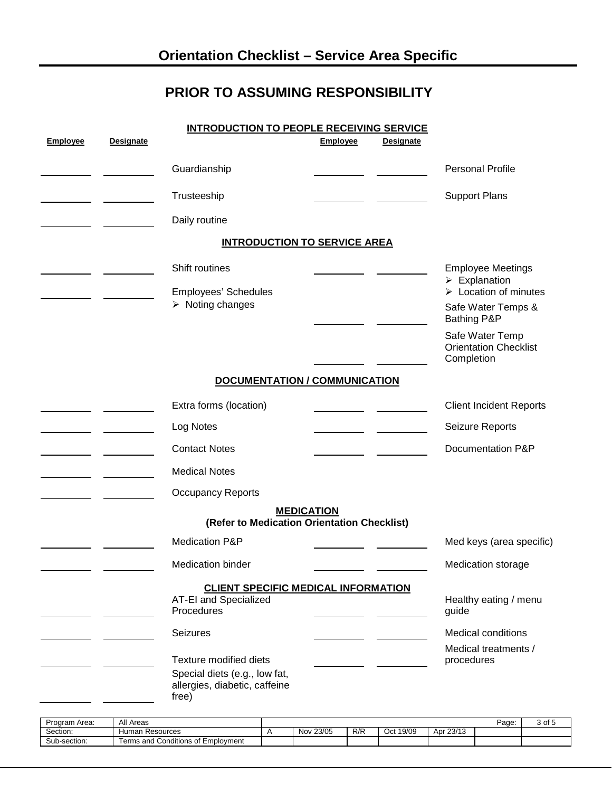### **PRIOR TO ASSUMING RESPONSIBILITY**

|                 |                  | <b>INTRODUCTION TO PEOPLE RECEIVING SERVICE</b>                                                   |                   |                  |                                                                                                                        |
|-----------------|------------------|---------------------------------------------------------------------------------------------------|-------------------|------------------|------------------------------------------------------------------------------------------------------------------------|
| <b>Employee</b> | <b>Designate</b> |                                                                                                   | Employee          | <b>Designate</b> |                                                                                                                        |
|                 |                  | Guardianship                                                                                      |                   |                  | Personal Profile                                                                                                       |
|                 |                  | Trusteeship                                                                                       |                   |                  | <b>Support Plans</b>                                                                                                   |
|                 |                  | Daily routine                                                                                     |                   |                  |                                                                                                                        |
|                 |                  | <b>INTRODUCTION TO SERVICE AREA</b>                                                               |                   |                  |                                                                                                                        |
|                 |                  | Shift routines<br>Employees' Schedules<br>$\triangleright$ Noting changes                         |                   |                  | <b>Employee Meetings</b><br>$\triangleright$ Explanation<br>$\triangleright$ Location of minutes<br>Safe Water Temps & |
|                 |                  |                                                                                                   |                   |                  | Bathing P&P<br>Safe Water Temp<br><b>Orientation Checklist</b><br>Completion                                           |
|                 |                  | DOCUMENTATION / COMMUNICATION                                                                     |                   |                  |                                                                                                                        |
|                 |                  | Extra forms (location)                                                                            |                   |                  | <b>Client Incident Reports</b>                                                                                         |
|                 |                  | Log Notes                                                                                         |                   |                  | Seizure Reports                                                                                                        |
|                 |                  | <b>Contact Notes</b>                                                                              |                   |                  | Documentation P&P                                                                                                      |
|                 |                  | <b>Medical Notes</b>                                                                              |                   |                  |                                                                                                                        |
|                 |                  | Occupancy Reports                                                                                 |                   |                  |                                                                                                                        |
|                 |                  | (Refer to Medication Orientation Checklist)                                                       | <b>MEDICATION</b> |                  |                                                                                                                        |
|                 |                  | <b>Medication P&amp;P</b>                                                                         |                   |                  | Med keys (area specific)                                                                                               |
|                 |                  | Medication binder                                                                                 |                   |                  | Medication storage                                                                                                     |
|                 |                  | <b>CLIENT SPECIFIC MEDICAL INFORMATION</b><br>AT-EI and Specialized<br>Procedures                 |                   |                  | Healthy eating / menu<br>guide                                                                                         |
|                 |                  | Seizures                                                                                          |                   |                  | Medical conditions<br>Medical treatments /                                                                             |
|                 |                  | Texture modified diets<br>Special diets (e.g., low fat,<br>allergies, diabetic, caffeine<br>free) |                   |                  | procedures                                                                                                             |

| Program Area: | Areas<br>All                              |                     |     |                   |                   | Page: | $\sim$<br>ושי<br>. |
|---------------|-------------------------------------------|---------------------|-----|-------------------|-------------------|-------|--------------------|
| Section:      | -luman<br>⊦ Resources                     | 23/05<br><b>Nov</b> | R/R | 19/09<br>۰.<br>◡◟ | $\Delta$ Dr 23/10 |       |                    |
| Sub-section:  | .<br>Conditions of Employment<br>erms and |                     |     |                   |                   |       |                    |
|               |                                           |                     |     |                   |                   |       |                    |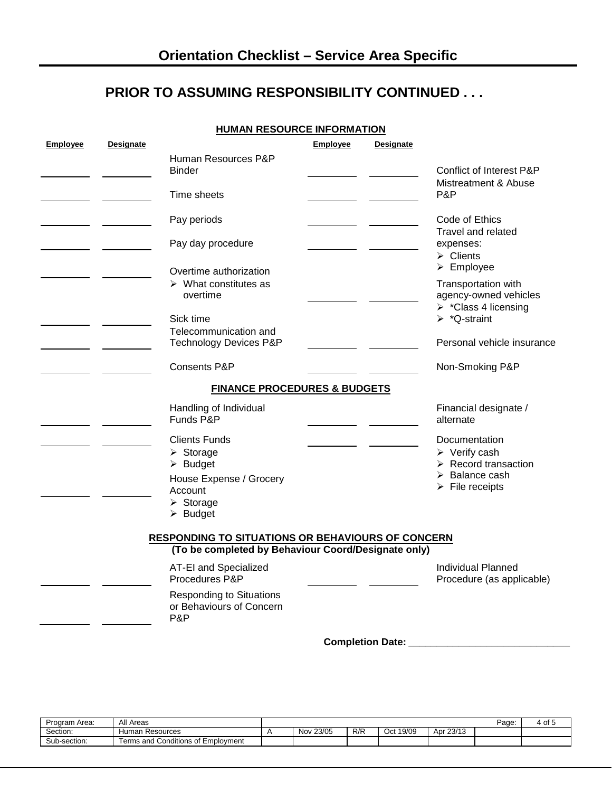#### **PRIOR TO ASSUMING RESPONSIBILITY CONTINUED . . .**

|--|

| <b>Employee</b> | <b>Designate</b> |                                                                                                                                                                          | <b>Employee</b> | <b>Designate</b> |                                                                                                                                                         |
|-----------------|------------------|--------------------------------------------------------------------------------------------------------------------------------------------------------------------------|-----------------|------------------|---------------------------------------------------------------------------------------------------------------------------------------------------------|
|                 |                  | Human Resources P&P<br><b>Binder</b>                                                                                                                                     |                 |                  | <b>Conflict of Interest P&amp;P</b>                                                                                                                     |
|                 |                  | Time sheets                                                                                                                                                              |                 |                  | Mistreatment & Abuse<br>P&P                                                                                                                             |
|                 |                  | Pay periods                                                                                                                                                              |                 |                  | Code of Ethics<br>Travel and related                                                                                                                    |
|                 |                  | Pay day procedure                                                                                                                                                        |                 |                  | expenses:<br>$\triangleright$ Clients                                                                                                                   |
|                 |                  | Overtime authorization                                                                                                                                                   |                 |                  | $\triangleright$ Employee                                                                                                                               |
|                 |                  | $\triangleright$ What constitutes as<br>overtime                                                                                                                         |                 |                  | Transportation with<br>agency-owned vehicles<br>> *Class 4 licensing                                                                                    |
|                 |                  | Sick time                                                                                                                                                                |                 |                  | $\triangleright$ *Q-straint                                                                                                                             |
|                 |                  | Telecommunication and<br><b>Technology Devices P&amp;P</b>                                                                                                               |                 |                  | Personal vehicle insurance                                                                                                                              |
|                 |                  | Consents P&P                                                                                                                                                             |                 |                  | Non-Smoking P&P                                                                                                                                         |
|                 |                  | <b>FINANCE PROCEDURES &amp; BUDGETS</b>                                                                                                                                  |                 |                  |                                                                                                                                                         |
|                 |                  | Handling of Individual<br>Funds P&P                                                                                                                                      |                 |                  | Financial designate /<br>alternate                                                                                                                      |
|                 |                  | <b>Clients Funds</b><br>$\triangleright$ Storage<br>$\triangleright$ Budget<br>House Expense / Grocery<br>Account<br>$\triangleright$ Storage<br>$\triangleright$ Budget |                 |                  | Documentation<br>$\triangleright$ Verify cash<br>$\triangleright$ Record transaction<br>$\triangleright$ Balance cash<br>$\triangleright$ File receipts |
|                 |                  | <b>RESPONDING TO SITUATIONS OR BEHAVIOURS OF CONCERN</b>                                                                                                                 |                 |                  |                                                                                                                                                         |
|                 |                  | (To be completed by Behaviour Coord/Designate only)                                                                                                                      |                 |                  |                                                                                                                                                         |
|                 |                  | AT-EI and Specialized<br>Procedures P&P                                                                                                                                  |                 |                  | <b>Individual Planned</b><br>Procedure (as applicable)                                                                                                  |
|                 |                  | <b>Responding to Situations</b><br>or Behaviours of Concern<br>P&P                                                                                                       |                 |                  |                                                                                                                                                         |

**Completion Date:** *\_\_\_\_\_\_\_\_\_\_\_\_\_\_\_\_\_\_\_\_\_\_\_\_\_\_\_\_\_*

| Program Area: | All Areas                               |           |     |              |           | -<br>Page: | 4 of |
|---------------|-----------------------------------------|-----------|-----|--------------|-----------|------------|------|
| Section:      | Human<br>Resources                      | Nov 23/05 | R/R | 19/09<br>Oct | Apr 23/1? |            |      |
| Sub-section:  | Terms and Conditions of L<br>Emplovment |           |     |              |           |            |      |